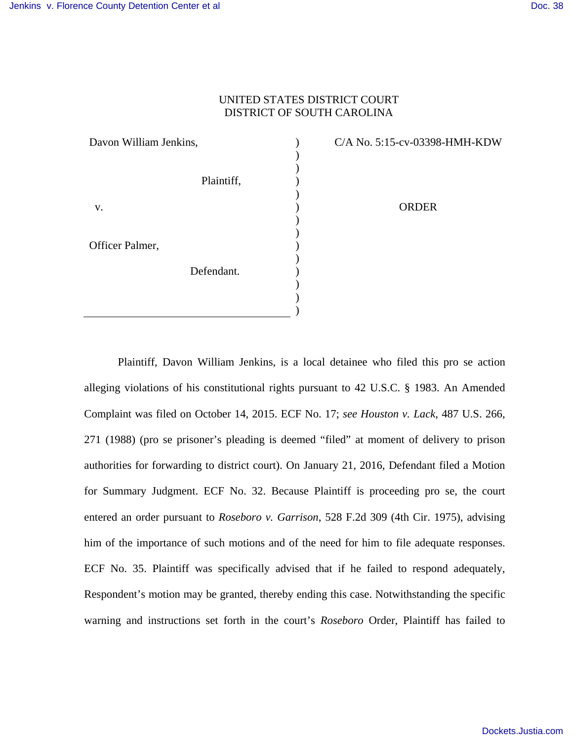## UNITED STATES DISTRICT COURT DISTRICT OF SOUTH CAROLINA

| Davon William Jenkins,        | C/A No. 5:15-cv-03398-HMH-KDW |
|-------------------------------|-------------------------------|
| Plaintiff,                    |                               |
| V.                            | <b>ORDER</b>                  |
| Officer Palmer,<br>Defendant. |                               |
|                               |                               |

)

Plaintiff, Davon William Jenkins, is a local detainee who filed this pro se action alleging violations of his constitutional rights pursuant to 42 U.S.C. § 1983. An Amended Complaint was filed on October 14, 2015. ECF No. 17; *see Houston v. Lack*, 487 U.S. 266, 271 (1988) (pro se prisoner's pleading is deemed "filed" at moment of delivery to prison authorities for forwarding to district court). On January 21, 2016, Defendant filed a Motion for Summary Judgment. ECF No. 32. Because Plaintiff is proceeding pro se, the court entered an order pursuant to *Roseboro v. Garrison*, 528 F.2d 309 (4th Cir. 1975), advising him of the importance of such motions and of the need for him to file adequate responses. ECF No. 35. Plaintiff was specifically advised that if he failed to respond adequately, Respondent's motion may be granted, thereby ending this case. Notwithstanding the specific warning and instructions set forth in the court's *Roseboro* Order, Plaintiff has failed to